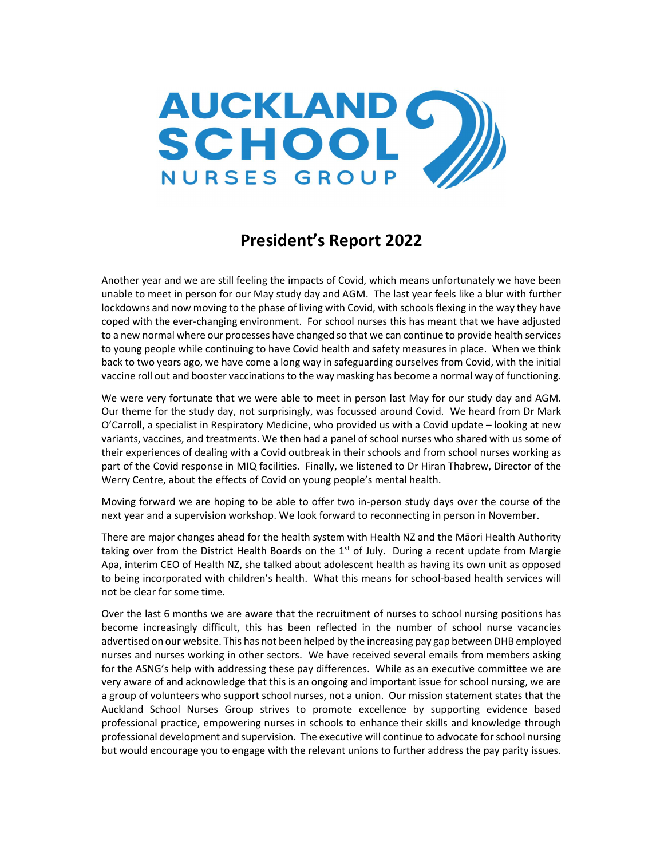

## President's Report 2022

Another year and we are still feeling the impacts of Covid, which means unfortunately we have been unable to meet in person for our May study day and AGM. The last year feels like a blur with further lockdowns and now moving to the phase of living with Covid, with schools flexing in the way they have coped with the ever-changing environment. For school nurses this has meant that we have adjusted to a new normal where our processes have changed so that we can continue to provide health services to young people while continuing to have Covid health and safety measures in place. When we think back to two years ago, we have come a long way in safeguarding ourselves from Covid, with the initial vaccine roll out and booster vaccinations to the way masking has become a normal way of functioning.

We were very fortunate that we were able to meet in person last May for our study day and AGM. Our theme for the study day, not surprisingly, was focussed around Covid. We heard from Dr Mark O'Carroll, a specialist in Respiratory Medicine, who provided us with a Covid update – looking at new variants, vaccines, and treatments. We then had a panel of school nurses who shared with us some of their experiences of dealing with a Covid outbreak in their schools and from school nurses working as part of the Covid response in MIQ facilities. Finally, we listened to Dr Hiran Thabrew, Director of the Werry Centre, about the effects of Covid on young people's mental health.

Moving forward we are hoping to be able to offer two in-person study days over the course of the next year and a supervision workshop. We look forward to reconnecting in person in November.

There are major changes ahead for the health system with Health NZ and the Māori Health Authority taking over from the District Health Boards on the  $1<sup>st</sup>$  of July. During a recent update from Margie Apa, interim CEO of Health NZ, she talked about adolescent health as having its own unit as opposed to being incorporated with children's health. What this means for school-based health services will not be clear for some time.

Over the last 6 months we are aware that the recruitment of nurses to school nursing positions has become increasingly difficult, this has been reflected in the number of school nurse vacancies advertised on our website. This has not been helped by the increasing pay gap between DHB employed nurses and nurses working in other sectors. We have received several emails from members asking for the ASNG's help with addressing these pay differences. While as an executive committee we are very aware of and acknowledge that this is an ongoing and important issue for school nursing, we are a group of volunteers who support school nurses, not a union. Our mission statement states that the Auckland School Nurses Group strives to promote excellence by supporting evidence based professional practice, empowering nurses in schools to enhance their skills and knowledge through professional development and supervision. The executive will continue to advocate for school nursing but would encourage you to engage with the relevant unions to further address the pay parity issues.